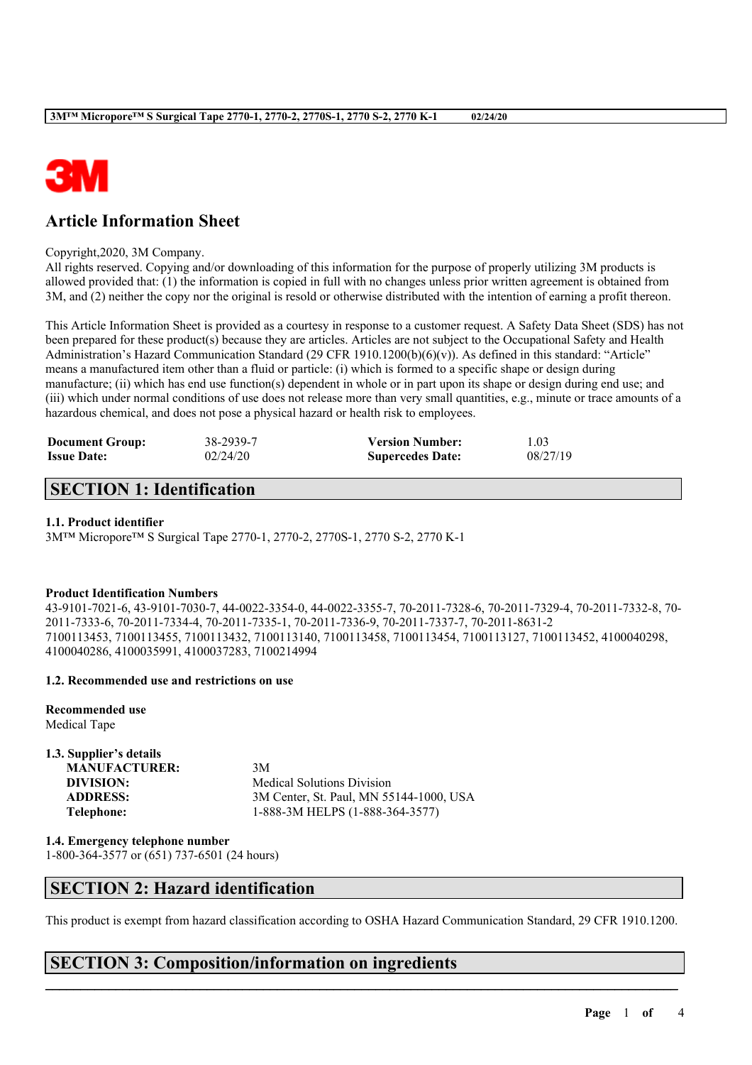

# **Article Information Sheet**

#### Copyright,2020, 3M Company.

All rights reserved. Copying and/or downloading of this information for the purpose of properly utilizing 3M products is allowed provided that: (1) the information is copied in full with no changes unless prior written agreement is obtained from 3M, and (2) neither the copy nor the original is resold or otherwise distributed with the intention of earning a profit thereon.

This Article Information Sheet is provided as a courtesy in response to a customer request. A Safety Data Sheet (SDS) has not been prepared for these product(s) because they are articles. Articles are not subject to the Occupational Safety and Health Administration's Hazard Communication Standard (29 CFR 1910.1200(b)(6)(v)). As defined in this standard: "Article" means a manufactured item other than a fluid or particle: (i) which is formed to a specific shape or design during manufacture; (ii) which has end use function(s) dependent in whole or in part upon its shape or design during end use; and (iii) which under normal conditions of use does not release more than very small quantities, e.g., minute or trace amounts of a hazardous chemical, and does not pose a physical hazard or health risk to employees.

| <b>Document Group:</b> | 38-2939-7 | <b>Version Number:</b>  | 1.03     |
|------------------------|-----------|-------------------------|----------|
| <b>Issue Date:</b>     | 02/24/20  | <b>Supercedes Date:</b> | 08/27/19 |

# **SECTION 1: Identification**

#### **1.1. Product identifier**

3M™ Micropore™ S Surgical Tape 2770-1, 2770-2, 2770S-1, 2770 S-2, 2770 K-1

#### **Product Identification Numbers**

43-9101-7021-6, 43-9101-7030-7, 44-0022-3354-0, 44-0022-3355-7, 70-2011-7328-6, 70-2011-7329-4, 70-2011-7332-8, 70- 2011-7333-6, 70-2011-7334-4, 70-2011-7335-1, 70-2011-7336-9, 70-2011-7337-7, 70-2011-8631-2 7100113453, 7100113455, 7100113432, 7100113140, 7100113458, 7100113454, 7100113127, 7100113452, 4100040298, 4100040286, 4100035991, 4100037283, 7100214994

#### **1.2. Recommended use and restrictions on use**

**Recommended use** Medical Tape

| 1.3. Supplier's details |                                         |
|-------------------------|-----------------------------------------|
| <b>MANUFACTURER:</b>    | 3M                                      |
| DIVISION:               | <b>Medical Solutions Division</b>       |
| <b>ADDRESS:</b>         | 3M Center, St. Paul, MN 55144-1000, USA |
| Telephone:              | 1-888-3M HELPS (1-888-364-3577)         |

**1.4. Emergency telephone number** 1-800-364-3577 or (651) 737-6501 (24 hours)

### **SECTION 2: Hazard identification**

This product is exempt from hazard classification according to OSHA Hazard Communication Standard, 29 CFR 1910.1200.

 $\mathcal{L}_\mathcal{L} = \mathcal{L}_\mathcal{L} = \mathcal{L}_\mathcal{L} = \mathcal{L}_\mathcal{L} = \mathcal{L}_\mathcal{L} = \mathcal{L}_\mathcal{L} = \mathcal{L}_\mathcal{L} = \mathcal{L}_\mathcal{L} = \mathcal{L}_\mathcal{L} = \mathcal{L}_\mathcal{L} = \mathcal{L}_\mathcal{L} = \mathcal{L}_\mathcal{L} = \mathcal{L}_\mathcal{L} = \mathcal{L}_\mathcal{L} = \mathcal{L}_\mathcal{L} = \mathcal{L}_\mathcal{L} = \mathcal{L}_\mathcal{L}$ 

## **SECTION 3: Composition/information on ingredients**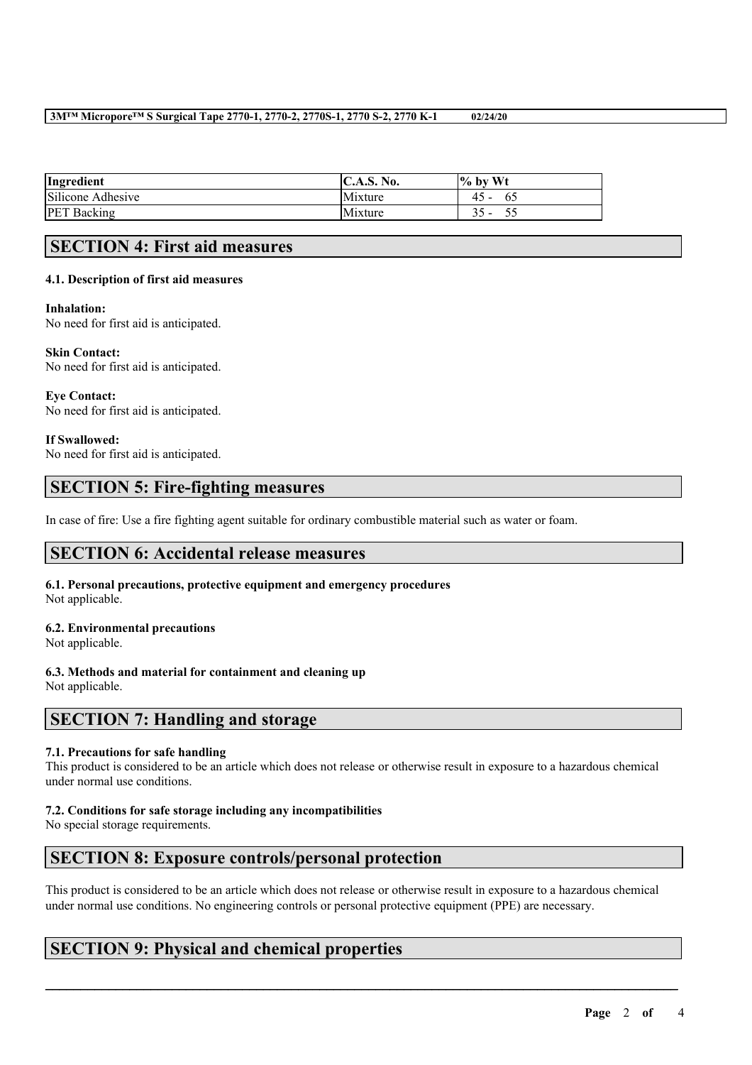#### **3M™ Micropore™ S Surgical Tape 2770-1, 2770-2, 2770S-1, 2770 S-2, 2770 K-1 02/24/20**

| Ingredient         | C.A.S. I<br>No. | $\%$ by Wt |
|--------------------|-----------------|------------|
| Silicone Adhesive  | Mixture         | 4:<br>62   |
| <b>PET</b> Backing | Mixture         |            |

# **SECTION 4: First aid measures**

#### **4.1. Description of first aid measures**

#### **Inhalation:**

No need for first aid is anticipated.

#### **Skin Contact:**

No need for first aid is anticipated.

**Eye Contact:** No need for first aid is anticipated.

#### **If Swallowed:**

No need for first aid is anticipated.

# **SECTION 5: Fire-fighting measures**

In case of fire: Use a fire fighting agent suitable for ordinary combustible material such as water or foam.

## **SECTION 6: Accidental release measures**

**6.1. Personal precautions, protective equipment and emergency procedures** Not applicable.

#### **6.2. Environmental precautions**

Not applicable.

### **6.3. Methods and material for containment and cleaning up**

Not applicable.

# **SECTION 7: Handling and storage**

#### **7.1. Precautions for safe handling**

This product is considered to be an article which does not release or otherwise result in exposure to a hazardous chemical under normal use conditions.

### **7.2. Conditions for safe storage including any incompatibilities**

No special storage requirements.

## **SECTION 8: Exposure controls/personal protection**

This product is considered to be an article which does not release or otherwise result in exposure to a hazardous chemical under normal use conditions. No engineering controls or personal protective equipment (PPE) are necessary.

 $\mathcal{L}_\mathcal{L} = \mathcal{L}_\mathcal{L} = \mathcal{L}_\mathcal{L} = \mathcal{L}_\mathcal{L} = \mathcal{L}_\mathcal{L} = \mathcal{L}_\mathcal{L} = \mathcal{L}_\mathcal{L} = \mathcal{L}_\mathcal{L} = \mathcal{L}_\mathcal{L} = \mathcal{L}_\mathcal{L} = \mathcal{L}_\mathcal{L} = \mathcal{L}_\mathcal{L} = \mathcal{L}_\mathcal{L} = \mathcal{L}_\mathcal{L} = \mathcal{L}_\mathcal{L} = \mathcal{L}_\mathcal{L} = \mathcal{L}_\mathcal{L}$ 

# **SECTION 9: Physical and chemical properties**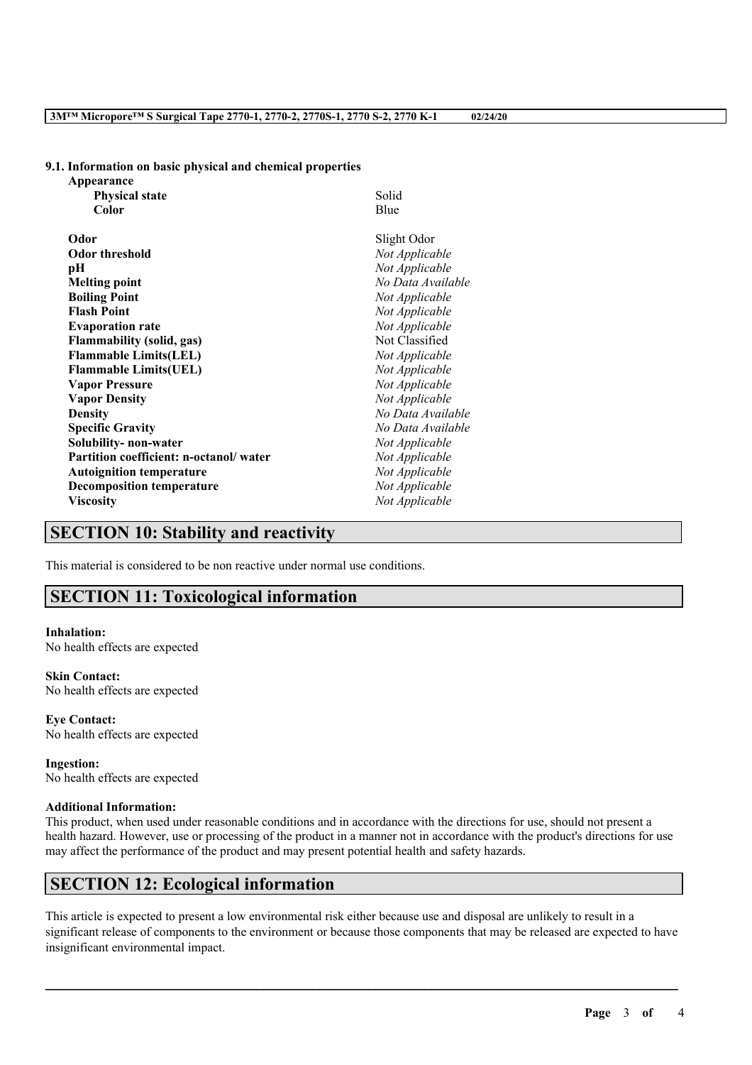#### **9.1. Information on basic physical and chemical properties**

| Appearance                             |                   |
|----------------------------------------|-------------------|
| <b>Physical state</b>                  | Solid             |
| Color                                  | Blue              |
| Odor                                   | Slight Odor       |
| <b>Odor threshold</b>                  | Not Applicable    |
| рH                                     | Not Applicable    |
| <b>Melting point</b>                   | No Data Available |
| <b>Boiling Point</b>                   | Not Applicable    |
| <b>Flash Point</b>                     | Not Applicable    |
| <b>Evaporation rate</b>                | Not Applicable    |
| <b>Flammability (solid, gas)</b>       | Not Classified    |
| <b>Flammable Limits(LEL)</b>           | Not Applicable    |
| <b>Flammable Limits(UEL)</b>           | Not Applicable    |
| <b>Vapor Pressure</b>                  | Not Applicable    |
| <b>Vapor Density</b>                   | Not Applicable    |
| <b>Density</b>                         | No Data Available |
| <b>Specific Gravity</b>                | No Data Available |
| Solubility- non-water                  | Not Applicable    |
| Partition coefficient: n-octanol/water | Not Applicable    |
| <b>Autoignition temperature</b>        | Not Applicable    |
| <b>Decomposition temperature</b>       | Not Applicable    |
| <b>Viscosity</b>                       | Not Applicable    |
|                                        |                   |

### **SECTION 10: Stability and reactivity**

This material is considered to be non reactive under normal use conditions.

# **SECTION 11: Toxicological information**

#### **Inhalation:**

No health effects are expected

### **Skin Contact:**

No health effects are expected

**Eye Contact:** No health effects are expected

**Ingestion:** No health effects are expected

#### **Additional Information:**

This product, when used under reasonable conditions and in accordance with the directions for use, should not present a health hazard. However, use or processing of the product in a manner not in accordance with the product's directions for use may affect the performance of the product and may present potential health and safety hazards.

# **SECTION 12: Ecological information**

This article is expected to present a low environmental risk either because use and disposal are unlikely to result in a significant release of components to the environment or because those components that may be released are expected to have insignificant environmental impact.

 $\mathcal{L}_\mathcal{L} = \mathcal{L}_\mathcal{L} = \mathcal{L}_\mathcal{L} = \mathcal{L}_\mathcal{L} = \mathcal{L}_\mathcal{L} = \mathcal{L}_\mathcal{L} = \mathcal{L}_\mathcal{L} = \mathcal{L}_\mathcal{L} = \mathcal{L}_\mathcal{L} = \mathcal{L}_\mathcal{L} = \mathcal{L}_\mathcal{L} = \mathcal{L}_\mathcal{L} = \mathcal{L}_\mathcal{L} = \mathcal{L}_\mathcal{L} = \mathcal{L}_\mathcal{L} = \mathcal{L}_\mathcal{L} = \mathcal{L}_\mathcal{L}$